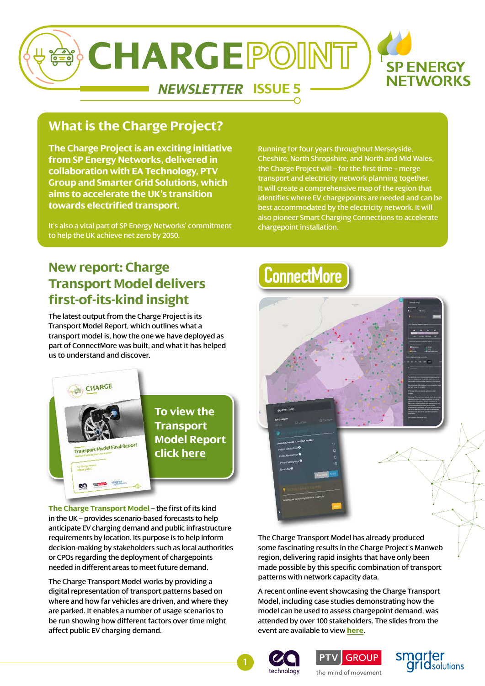

### **What is the Charge Project?**

**The Charge Project is an exciting initiative from SP Energy Networks, delivered in collaboration with EA Technology, PTV Group and Smarter Grid Solutions, which aims to accelerate the UK's transition towards electrified transport.** 

It's also a vital part of SP Energy Networks' commitment to help the UK achieve net zero by 2050.

Running for four years throughout Merseyside, Cheshire, North Shropshire, and North and Mid Wales, the Charge Project will – for the first time – merge transport and electricity network planning together. It will create a comprehensive map of the region that identifies where EV chargepoints are needed and can be best accommodated by the electricity network. It will also pioneer Smart Charging Connections to accelerate chargepoint installation.

### **New report: Charge Transport Model delivers first-of-its-kind insight**

The latest output from the Charge Project is its Transport Model Report, which outlines what a transport model is, how the one we have deployed as part of ConnectMore was built, and what it has helped us to understand and discover.



**The Charge Transport Model** – the first of its kind in the UK – provides scenario-based forecasts to help anticipate EV charging demand and public infrastructure requirements by location. Its purpose is to help inform decision-making by stakeholders such as local authorities or CPOs regarding the deployment of chargepoints needed in different areas to meet future demand.

The Charge Transport Model works by providing a digital representation of transport patterns based on where and how far vehicles are driven, and where they are parked. It enables a number of usage scenarios to be run showing how different factors over time might affect public EV charging demand.

# **ConnectMore**



The Charge Transport Model has already produced some fascinating results in the Charge Project's Manweb region, delivering rapid insights that have only been made possible by this specific combination of transport patterns with network capacity data.

A recent online event showcasing the Charge Transport Model, including case studies demonstrating how the model can be used to assess chargepoint demand, was attended by over 100 stakeholders. The slides from the event are available to view **[here](https://www.spenergynetworks.co.uk/userfiles/file/PTV_Transport_Model_Dissemination_Event_16_March_2022.pdf)**.







the mind of movement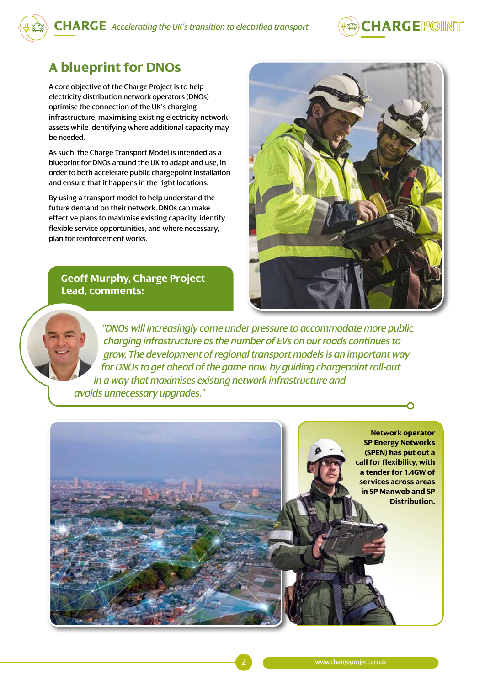

### **A blueprint for DNOs**

A core objective of the Charge Project is to help electricity distribution network operators (DNOs) optimise the connection of the UK's charging infrastructure, maximising existing electricity network assets while identifying where additional capacity may be needed.

As such, the Charge Transport Model is intended as a blueprint for DNOs around the UK to adapt and use, in order to both accelerate public chargepoint installation and ensure that it happens in the right locations.

By using a transport model to help understand the future demand on their network, DNOs can make effective plans to maximise existing capacity, identify flexible service opportunities, and where necessary, plan for reinforcement works.

### **Geoff Murphy, Charge Project Lead, comments:**



 *"DNOs will increasingly come under pressure to accommodate more public charging infrastructure as the number of EVs on our roads continues to grow. The development of regional transport models is an important way for DNOs to get ahead of the game now, by guiding chargepoint roll-out in a way that maximises existing network infrastructure and avoids unnecessary upgrades."*

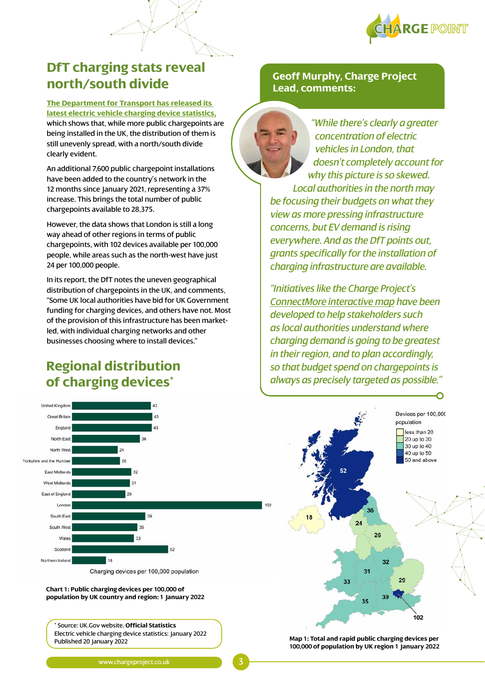

less than 20

20 up to 30 30 up to 40

40 up to 50 50 and above

 $2<sup>c</sup>$ 

### **DfT charging stats reveal north/south divide**

**[The Department for Transport has released its](https://www.gov.uk/government/statistics/electric-vehicle-charging-device-statistics-january-2022/electric-vehicle-charging-device-statistics-january-2022)  [latest electric vehicle charging device statistics,](https://www.gov.uk/government/statistics/electric-vehicle-charging-device-statistics-january-2022/electric-vehicle-charging-device-statistics-january-2022)** which shows that, while more public chargepoints are being installed in the UK, the distribution of them is still unevenly spread, with a north/south divide clearly evident.

An additional 7,600 public chargepoint installations have been added to the country's network in the 12 months since January 2021, representing a 37% increase. This brings the total number of public chargepoints available to 28,375.

However, the data shows that London is still a long way ahead of other regions in terms of public chargepoints, with 102 devices available per 100,000 people, while areas such as the north-west have just 24 per 100,000 people.

In its report, the DfT notes the uneven geographical distribution of chargepoints in the UK, and comments, "Some UK local authorities have bid for UK Government funding for charging devices, and others have not. Most of the provision of this infrastructure has been marketled, with individual charging networks and other businesses choosing where to install devices."

### **Regional distribution of charging devices\***



*"While there's clearly a greater concentration of electric vehicles in London, that doesn't completely account for why this picture is so skewed. Local authorities in the north may be focusing their budgets on what they view as more pressing infrastructure concerns, but EV demand is rising everywhere. And as the DfT points out, grants specifically for the installation of charging infrastructure are available.*

*"Initiatives like the Charge Project's [ConnectMore interactive map](https://www.spenergynetworks.co.uk/pages/connectmore_interactive_map_terms.aspx) have been developed to help stakeholders such as local authorities understand where charging demand is going to be greatest in their region, and to plan accordingly, so that budget spend on chargepoints is always as precisely targeted as possible."*



**Map 1: Total and rapid public charging devices per 100,000 of population by UK region 1 January 2022**

Published 20 January 2022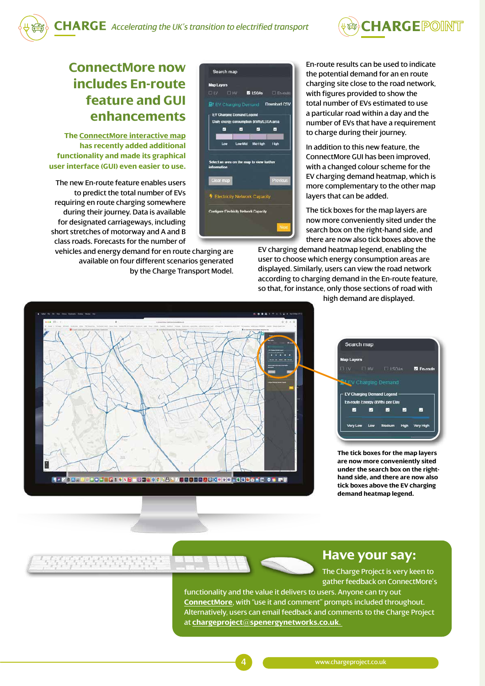

### **ConnectMore now includes En-route feature and GUI enhancements**

**The [ConnectMore interactive map](https://www.spenergynetworks.co.uk/pages/connectmore_interactive_map_terms.aspx) has recently added additional functionality and made its graphical user interface (GUI) even easier to use.**

The new En-route feature enables users to predict the total number of EVs requiring en route charging somewhere during their journey. Data is available for designated carriageways, including short stretches of motorway and A and B class roads. Forecasts for the number of

vehicles and energy demand for en route charging are available on four different scenarios generated by the Charge Transport Model.

| Search map                                    |          |          |             |
|-----------------------------------------------|----------|----------|-------------|
| <b>Map Layers</b>                             |          |          |             |
| <b>ELLV ELHV MOLSOAs</b> El En-route          |          |          |             |
| BJ EV Charging Demand Download CSV            |          |          |             |
| <b>EV Charging Demand Legend</b>              |          |          |             |
| Daily cricrgy consumption (kWh)/LSOA area     |          |          |             |
| M                                             | $\omega$ | $\sim$   | V           |
| Low                                           | Low-Mid  | Mid-High | <b>High</b> |
|                                               |          |          |             |
| Select an area on the map to view further     |          |          |             |
| information                                   |          |          |             |
| <b>Clear map</b>                              |          |          | Previous    |
|                                               |          |          |             |
| Electricity Network Capacity                  |          |          |             |
| <b>Configure Electricity Network Capacity</b> |          |          |             |
|                                               |          |          |             |
|                                               |          |          | Next        |
|                                               |          |          |             |

En-route results can be used to indicate the potential demand for an en route charging site close to the road network, with figures provided to show the total number of EVs estimated to use a particular road within a day and the number of EVs that have a requirement to charge during their journey.

In addition to this new feature, the ConnectMore GUI has been improved, with a changed colour scheme for the EV charging demand heatmap, which is more complementary to the other map layers that can be added.

The tick boxes for the map layers are now more conveniently sited under the search box on the right-hand side, and there are now also tick boxes above the

EV charging demand heatmap legend, enabling the user to choose which energy consumption areas are displayed. Similarly, users can view the road network according to charging demand in the En-route feature, so that, for instance, only those sections of road with

high demand are displayed.





**The tick boxes for the map layers are now more conveniently sited under the search box on the righthand side, and there are now also tick boxes above the EV charging demand heatmap legend.**

### **Have your say:**

The Charge Project is very keen to gather feedback on ConnectMore's

functionality and the value it delivers to users. Anyone can try out **[ConnectMore](https://www.spenergynetworks.co.uk/pages/connectmore_interactive_map_terms.aspx)**, with "use it and comment" prompts included throughout. Alternatively, users can email feedback and comments to the Charge Project at **[chargeproject@spenergynetworks.co.uk](mailto:chargeproject%40spenergynetworks.co.uk?subject=)**.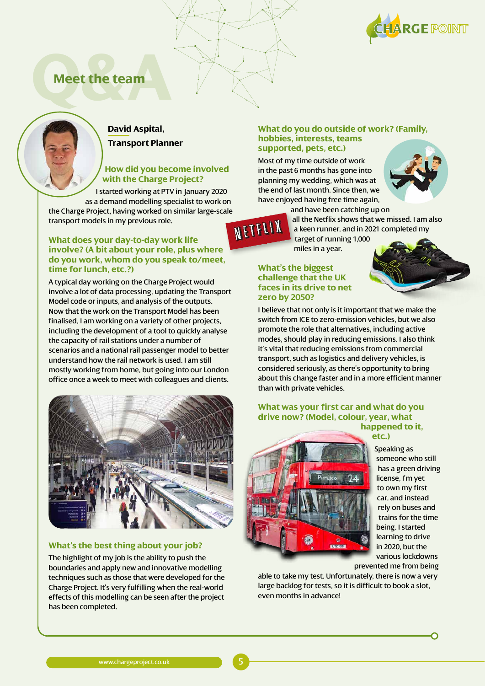

### **Meet the team**



#### **David Aspital, Transport Planner**

#### **How did you become involved with the Charge Project?**

I started working at PTV in January 2020 as a demand modelling specialist to work on the Charge Project, having worked on similar large-scale transport models in my previous role.

#### **What does your day-to-day work life involve? (A bit about your role, plus where do you work, whom do you speak to/meet, time for lunch, etc.?)**

A typical day working on the Charge Project would involve a lot of data processing, updating the Transport Model code or inputs, and analysis of the outputs. Now that the work on the Transport Model has been finalised, I am working on a variety of other projects, including the development of a tool to quickly analyse the capacity of rail stations under a number of scenarios and a national rail passenger model to better understand how the rail network is used. I am still mostly working from home, but going into our London office once a week to meet with colleagues and clients.



#### **What's the best thing about your job?**

The highlight of my job is the ability to push the boundaries and apply new and innovative modelling techniques such as those that were developed for the Charge Project. It's very fulfilling when the real-world effects of this modelling can be seen after the project has been completed.

#### **What do you do outside of work? (Family, hobbies, interests, teams supported, pets, etc.)**

Most of my time outside of work in the past 6 months has gone into planning my wedding, which was at the end of last month. Since then, we have enjoyed having free time again,



and have been catching up on all the Netflix shows that we missed. I am also NETFLIX a keen runner, and in 2021 completed my target of running 1,000 miles in a year.

#### **What's the biggest challenge that the UK faces in its drive to net zero by 2050?**

I believe that not only is it important that we make the switch from ICE to zero-emission vehicles, but we also promote the role that alternatives, including active modes, should play in reducing emissions. I also think it's vital that reducing emissions from commercial transport, such as logistics and delivery vehicles, is considered seriously, as there's opportunity to bring about this change faster and in a more efficient manner than with private vehicles.

#### **What was your first car and what do you drive now? (Model, colour, year, what happened to it, etc.)**



Speaking as someone who still has a green driving license, I'm yet to own my first car, and instead rely on buses and trains for the time being. I started learning to drive in 2020, but the various lockdowns prevented me from being

able to take my test. Unfortunately, there is now a very large backlog for tests, so it is difficult to book a slot, even months in advance!